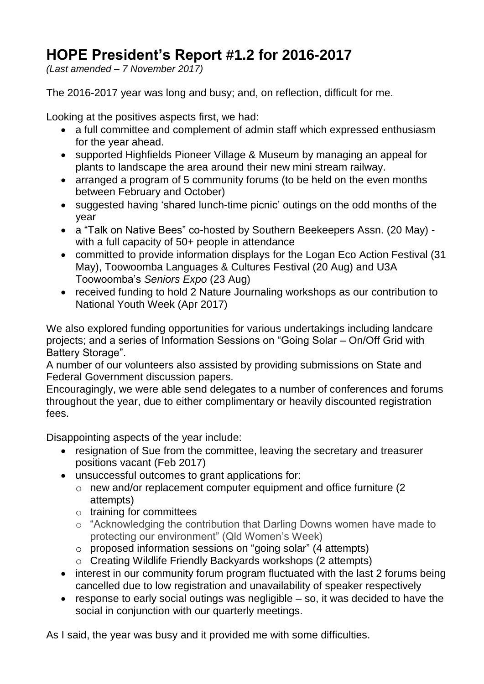## **HOPE President's Report #1.2 for 2016-2017**

*(Last amended – 7 November 2017)*

The 2016-2017 year was long and busy; and, on reflection, difficult for me.

Looking at the positives aspects first, we had:

- a full committee and complement of admin staff which expressed enthusiasm for the year ahead.
- supported Highfields Pioneer Village & Museum by managing an appeal for plants to landscape the area around their new mini stream railway.
- arranged a program of 5 community forums (to be held on the even months between February and October)
- suggested having 'shared lunch-time picnic' outings on the odd months of the year
- a "Talk on Native Bees" co-hosted by Southern Beekeepers Assn. (20 May) with a full capacity of 50+ people in attendance
- committed to provide information displays for the Logan Eco Action Festival (31) May), Toowoomba Languages & Cultures Festival (20 Aug) and U3A Toowoomba's *Seniors Expo* (23 Aug)
- received funding to hold 2 Nature Journaling workshops as our contribution to National Youth Week (Apr 2017)

We also explored funding opportunities for various undertakings including landcare projects; and a series of Information Sessions on "Going Solar – On/Off Grid with Battery Storage".

A number of our volunteers also assisted by providing submissions on State and Federal Government discussion papers.

Encouragingly, we were able send delegates to a number of conferences and forums throughout the year, due to either complimentary or heavily discounted registration fees.

Disappointing aspects of the year include:

- resignation of Sue from the committee, leaving the secretary and treasurer positions vacant (Feb 2017)
- unsuccessful outcomes to grant applications for:
	- o new and/or replacement computer equipment and office furniture (2 attempts)
	- o training for committees
	- o "Acknowledging the contribution that Darling Downs women have made to protecting our environment" (Qld Women's Week)
	- o proposed information sessions on "going solar" (4 attempts)
	- o Creating Wildlife Friendly Backyards workshops (2 attempts)
- interest in our community forum program fluctuated with the last 2 forums being cancelled due to low registration and unavailability of speaker respectively
- response to early social outings was negligible so, it was decided to have the social in conjunction with our quarterly meetings.

As I said, the year was busy and it provided me with some difficulties.